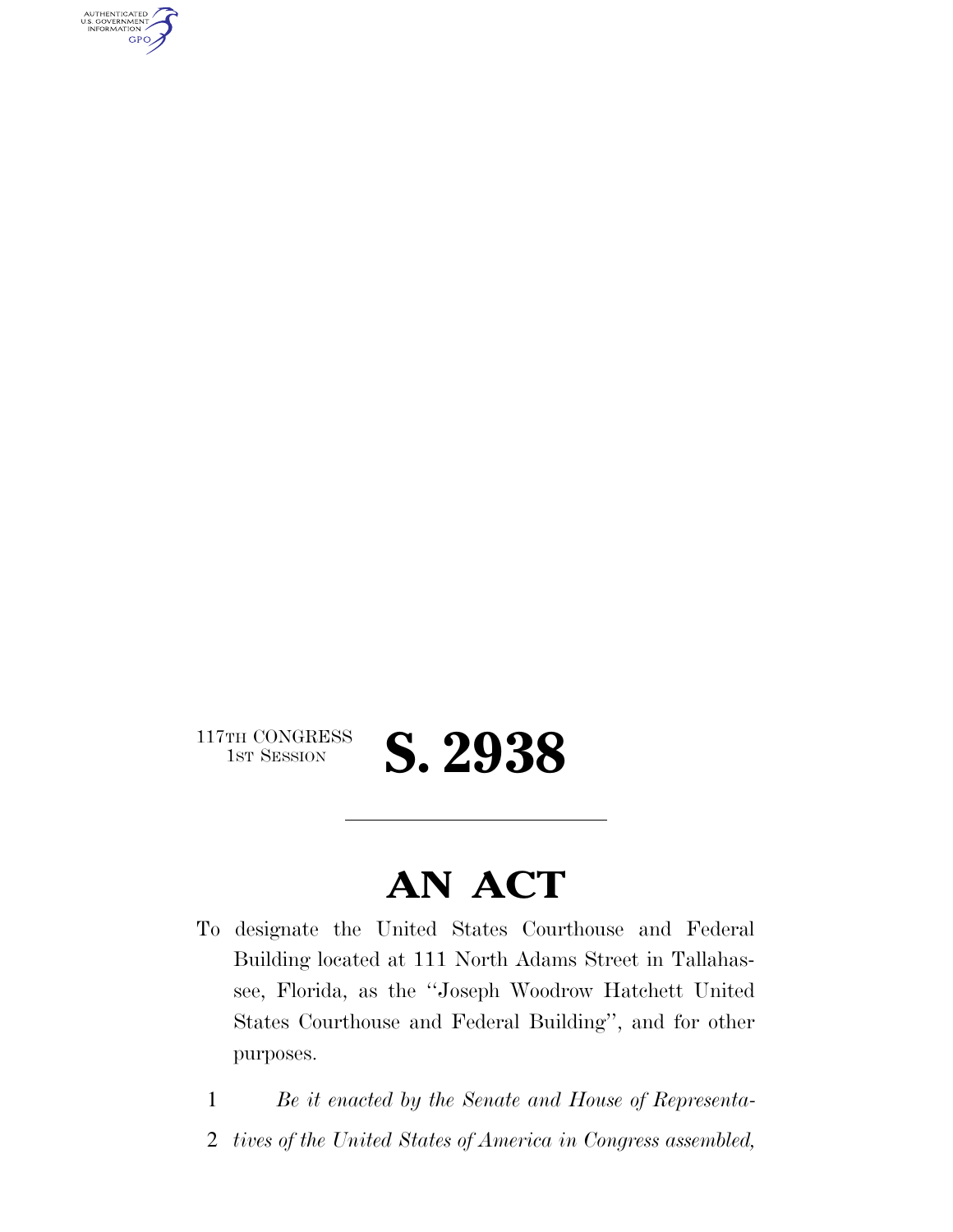AUTHENTICATED<br>U.S. GOVERNMENT<br>INFORMATION **GPO** 

117TH CONGRESS<br>1st Session

**AN ACT** 

1ST SESSION **S. 2938** 

To designate the United States Courthouse and Federal Building located at 111 North Adams Street in Tallahassee, Florida, as the ''Joseph Woodrow Hatchett United States Courthouse and Federal Building'', and for other purposes.

1 *Be it enacted by the Senate and House of Representa-*

2 *tives of the United States of America in Congress assembled,*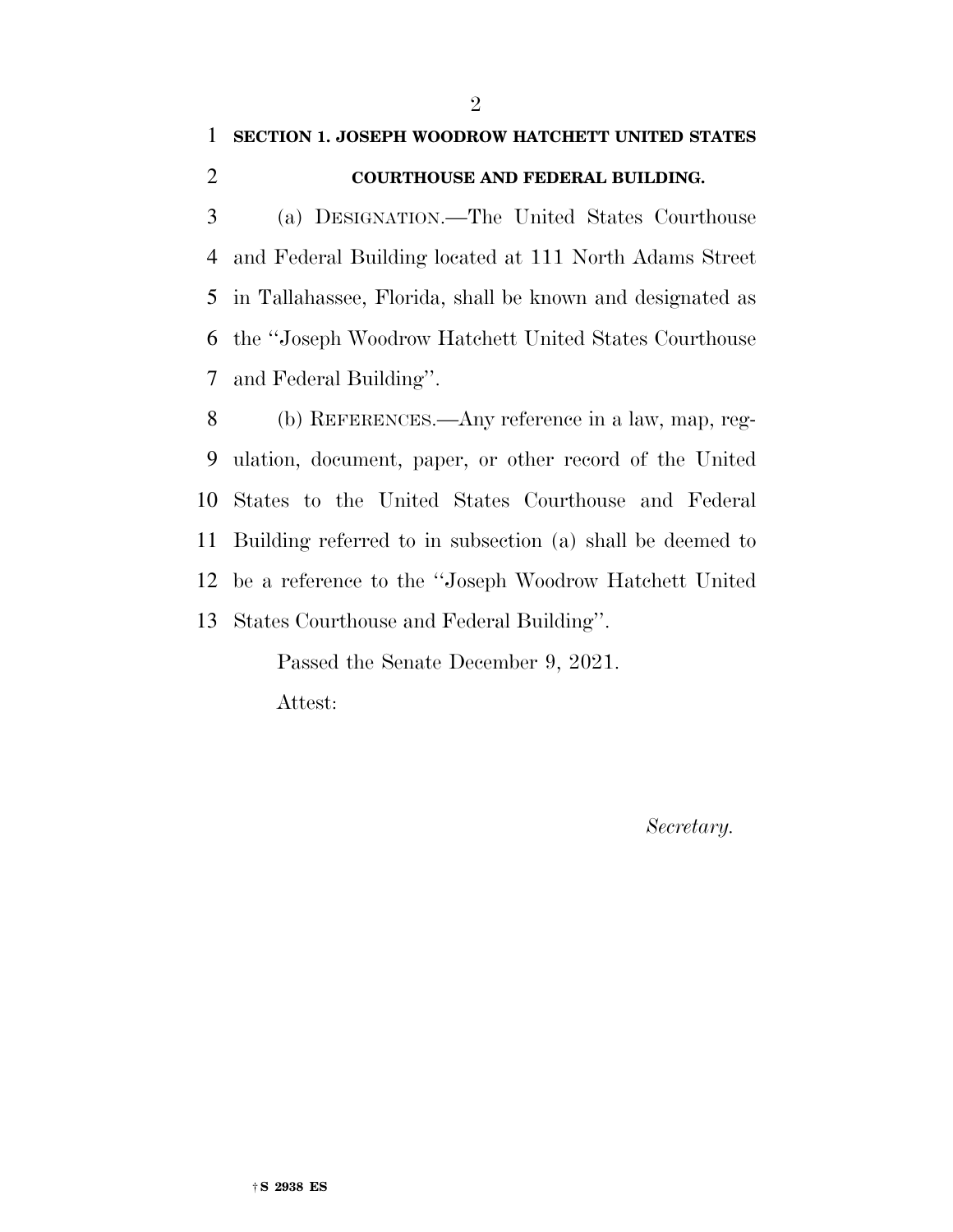## **SECTION 1. JOSEPH WOODROW HATCHETT UNITED STATES**

## **COURTHOUSE AND FEDERAL BUILDING.**

 (a) DESIGNATION.—The United States Courthouse and Federal Building located at 111 North Adams Street in Tallahassee, Florida, shall be known and designated as the ''Joseph Woodrow Hatchett United States Courthouse and Federal Building''.

 (b) REFERENCES.—Any reference in a law, map, reg- ulation, document, paper, or other record of the United States to the United States Courthouse and Federal Building referred to in subsection (a) shall be deemed to be a reference to the ''Joseph Woodrow Hatchett United States Courthouse and Federal Building''.

Passed the Senate December 9, 2021.

Attest:

*Secretary.*